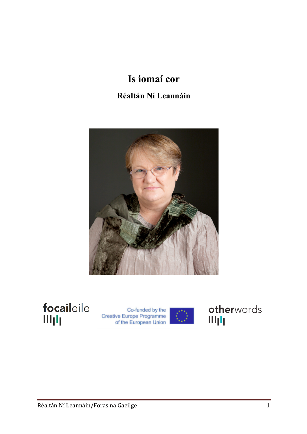## **Is iomaí cor Réaltán Ní Leannáin**



focaileile Illjlj

Co-funded by the<br>Creative Europe Programme<br>of the European Union



otherwords Illjlj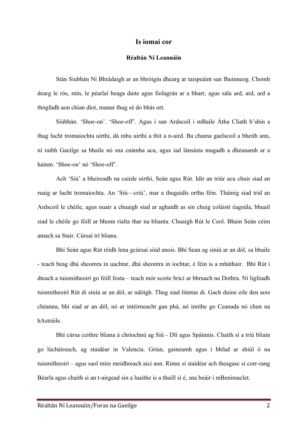## **Is iomaí cor**

## **Réaltán Ní Leannáin**

Stán Siubhán Ní Bhrádaigh ar an bhróigín dhearg ar taispeáint san fhuinneog. Chomh dearg le rós, mín, le péarlaí beaga daite agus fiolagrán ar a bharr, agus sála ard, ard, ard a thógfadh aon chian díot, munar thug sé do bhás ort.

Siúbhán. 'Shoe-on'. 'Shoe-off'. Agus í san Ardscoil i mBaile Átha Cliath b'shin a thug lucht tromaíochta uirthi, dá mba uirthi a thit a n-aird. Ba chuma gaelscoil a bheith ann, ní raibh Gaeilge sa bhaile nó sna cnámha acu, agus iad lánsásta magadh a dhéanamh ar a hainm. 'Shoe-on' nó 'Shoe-off'.

Ach 'Siú' a bheireadh na cairde uirthi, Seán agus Rút. Idir an triúr acu chuir siad an ruaig ar lucht tromaíochta. An 'Siú—criú', mar a thugaidís orthu féin. Tháinig siad tríd an Ardscoil le chéile, agus nuair a chuaigh siad ar aghaidh as sin chuig coláistí éagsúla, bhuail siad le chéile go fóill ar bhonn rialta thar na blianta. Chuaigh Rút le Ceol. Bhain Seán céim amach sa Stair. Cúrsaí trí bliana.

Bhí Seán agus Rút réidh lena gcúrsaí siúd anois. Bhí Sean ag síniú ar an dól, sa bhaile - teach beag dhá sheomra in uachtar, dhá sheomra in íochtar, é féin is a mháthair. Bhí Rút i dteach a tuismitheoirí go fóill fosta – teach mór scoite brící ar bhruach na Dothra. Ní ligfeadh tuismitheoirí Rút di síniú ar an dól, ar ndóigh. Thug siad liúntas di. Gach duine eile den aois chéanna, bhí siad ar an dól, nó ar intéirneacht gan phá, nó imithe go Ceanada nó chun na hAstráile.

Bhí cúrsa ceithre bliana á chríochnú ag Siú - Dlí agus Spáinnis. Chaith sí a tríú bliain go lúcháireach, ag staidéar in Valencia. Grian, gaineamh agus i bhfad ar shiúl ó na tuismitheoirí – agus saol mire meidhreach aici ann. Rinne sí staidéar ach theagasc sí corr-rang Béarla agus chaith sí an t-airgead sin a luaithe is a thuill sí é, sna beáir i mBenimaclet.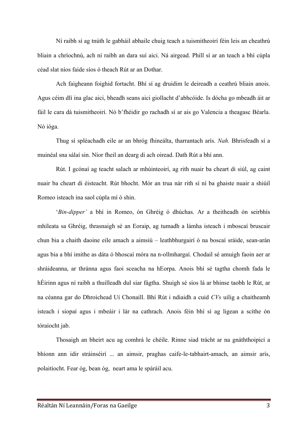Ní raibh sí ag tnúth le gabháil abhaile chuig teach a tuismitheoirí féin leis an cheathrú bliain a chríochnú, ach ní raibh an dara suí aici. Ná airgead. Phill sí ar an teach a bhí cúpla céad slat níos faide síos ó theach Rút ar an Dothar.

Ach faigheann foighid fortacht. Bhí sí ag druidim le deireadh a ceathrú bliain anois. Agus céim dlí ina glac aici, bheadh seans aici giollacht d'abhcóide. Is dócha go mbeadh áit ar fáil le cara dá tuismitheoirí. Nó b'fhéidir go rachadh sí ar ais go Valencia a theagasc Béarla. Nó ióga.

Thug sí spléachadh eile ar an bhróg fhineálta, tharrantach arís. *Nah.* Bhrisfeadh sí a muinéal sna sálaí sin. Níor fheil an dearg di ach oiread. Dath Rút a bhí ann.

Rút. I gcónaí ag teacht salach ar mhúinteoirí, ag rith nuair ba cheart di siúl, ag caint nuair ba cheart di éisteacht. Rút bhocht. Mór an trua nár rith sí ní ba ghaiste nuair a shiúil Romeo isteach ina saol cúpla mí ó shin.

'*Bin-dipper'* a bhí in Romeo, ón Ghréig ó dhúchas. Ar a theitheadh ón seirbhís mhíleata sa Ghréig, thrasnaigh sé an Eoraip, ag tumadh a lámha isteach i mboscaí bruscair chun bia a chaith daoine eile amach a aimsiú – leathbhurgairí ó na boscaí sráide, sean-arán agus bia a bhí imithe as dáta ó bhoscaí móra na n-ollmhargaí. Chodail sé amuigh faoin aer ar shráideanna, ar thránna agus faoi sceacha na hEorpa. Anois bhí sé tagtha chomh fada le hÉirinn agus ní raibh a thuilleadh dul siar fágtha. Shuigh sé síos lá ar bhinse taobh le Rút, ar na céanna gar do Dhroichead Uí Chonaill. Bhí Rút i ndiaidh a cuid *CVs* uilig a chaitheamh isteach i siopaí agus i mbeáir i lár na cathrach. Anois féin bhí sí ag ligean a scíthe ón tóraíocht jab.

 Thosaigh an bheirt acu ag comhrá le chéile. Rinne siad trácht ar na gnáththoipicí a bhíonn ann idir stráinséirí ... an aimsir, praghas caife-le-tabhairt-amach, an aimsir arís, polaitíocht. Fear óg, bean óg, neart ama le spáráil acu.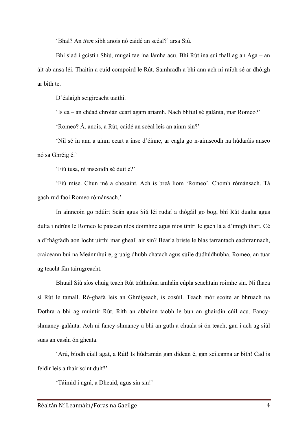'Bhal? An *item* sibh anois nó caidé an scéal?' arsa Siú.

Bhí siad i gcistin Shiú, mugaí tae ina lámha acu. Bhí Rút ina suí thall ag an Aga – an áit ab ansa léi. Thaitin a cuid compoird le Rút. Samhradh a bhí ann ach ní raibh sé ar dhóigh ar bith te.

D'éalaigh scigireacht uaithi.

'Is ea – an chéad chroíán ceart agam ariamh. Nach bhfuil sé galánta, mar Romeo?'

'Romeo? Á, anois, a Rút, caidé an scéal leis an ainm sin?'

'Níl sé in ann a ainm ceart a inse d'éinne, ar eagla go n-aimseodh na húdaráis anseo nó sa Ghréig é.'

'Fíú tusa, ní inseoidh sé duit é?'

'Fiú mise. Chun mé a chosaint. Ach is breá liom 'Romeo'. Chomh rómánsach. Tá gach rud faoi Romeo rómánsach.'

In ainneoin go ndúirt Seán agus Siú léi rudaí a thógáil go bog, bhí Rút dualta agus dulta i ndrúis le Romeo le paisean níos doimhne agus níos tintrí le gach lá a d'imigh thart. Cé a d'fhágfadh aon locht uirthi mar gheall air sin? Béarla briste le blas tarrantach eachtrannach, craiceann buí na Meánmhuire, gruaig dhubh chatach agus súile dúdhúdhubha. Romeo, an tuar ag teacht fán tairngreacht.

Bhuail Siú síos chuig teach Rút tráthnóna amháin cúpla seachtain roimhe sin. Ní fhaca sí Rút le tamall. Ró-ghafa leis an Ghréigeach, is cosúil. Teach mór scoite ar bhruach na Dothra a bhí ag muintir Rút. Rith an abhainn taobh le bun an ghairdín cúil acu. Fancyshmancy-galánta. Ach ní fancy-shmancy a bhí an guth a chuala sí ón teach, gan í ach ag siúl suas an casán ón gheata.

'Arú, bíodh ciall agat, a Rút! Is liúdramán gan dídean é, gan scileanna ar bith! Cad is feidir leis a thairiscint duit?'

'Táimid i ngrá, a Dheaid, agus sin sin!'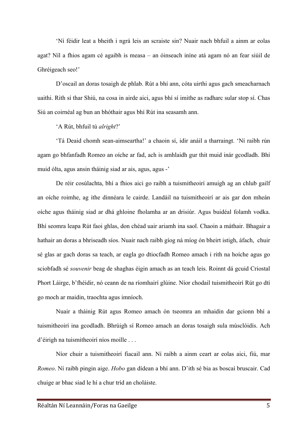'Ní féidir leat a bheith i ngrá leis an scraiste sin? Nuair nach bhfuil a ainm ar eolas agat? Níl a fhios agam cé agaibh is measa – an óinseach iníne atá agam nó an fear siúil de Ghréigeach seo!'

D'oscail an doras tosaigh de phlab. Rút a bhí ann, cóta uirthi agus gach smeacharnach uaithi. Rith sí thar Shiú, na cosa in airde aici, agus bhí sí imithe as radharc sular stop sí. Chas Siú an coirnéal ag bun an bhóthair agus bhí Rút ina seasamh ann.

'A Rút, bhfuil tú *alright*?'

'Tá Deaid chomh sean-aimseartha!' a chaoin sí, idir anáil a tharraingt. 'Ní raibh rún agam go bhfanfadh Romeo an oíche ar fad, ach is amhlaidh gur thit muid inár gcodladh. Bhí muid ólta, agus ansin tháinig siad ar ais, agus, agus -'

De réir cosúlachta, bhí a fhios aici go raibh a tuismitheoirí amuigh ag an chlub gailf an oíche roimhe, ag ithe dinnéara le cairde. Landáil na tuismitheoirí ar ais gar don mheán oíche agus tháinig siad ar dhá ghloine fholamha ar an drisiúr. Agus buidéal folamh vodka. Bhí seomra leapa Rút faoi ghlas, don chéad uair ariamh ina saol. Chaoin a máthair. Bhagair a hathair an doras a bhriseadh síos. Nuair nach raibh gíog ná míog ón bheirt istigh, áfach, chuir sé glas ar gach doras sa teach, ar eagla go dtiocfadh Romeo amach i rith na hoíche agus go sciobfadh sé *souvenir* beag de shaghas éigin amach as an teach leis. Roinnt dá gcuid Criostal Phort Láirge, b'fhéidir, nó ceann de na ríomhairí glúine. Níor chodail tuismitheoirí Rút go dtí go moch ar maidin, traochta agus imníoch.

Nuair a tháinig Rút agus Romeo amach ón tseomra an mhaidin dar gcionn bhí a tuismitheoirí ina gcodladh. Bhrúigh sí Romeo amach an doras tosaigh sula músclóidís. Ach d'éirigh na tuismitheoirí níos moille . . .

Níor chuir a tuismitheoirí fiacail ann. Ní raibh a ainm ceart ar eolas aici, fiú, mar *Romeo*. Ní raibh pingin aige. *Hobo* gan dídean a bhí ann. D'ith sé bia as boscaí bruscair. Cad chuige ar bhac siad le hí a chur tríd an choláiste.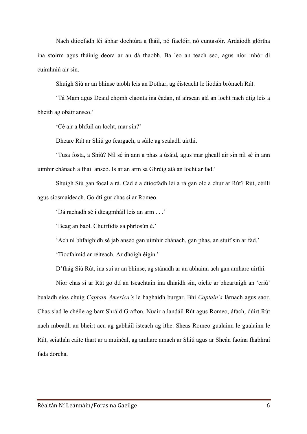Nach dtiocfadh léi ábhar dochtúra a fháil, nó fiaclóir, nó cuntasóir. Ardaíodh glórtha ina stoirm agus tháinig deora ar an dá thaobh. Ba leo an teach seo, agus níor mhór di cuimhniú air sin.

Shuigh Siú ar an bhinse taobh leis an Dothar, ag éisteacht le liodán brónach Rút.

'Tá Mam agus Deaid chomh claonta ina éadan, ní airsean atá an locht nach dtig leis a bheith ag obair anseo.'

'Cé air a bhfuil an locht, mar sin?'

Dhearc Rút ar Shiú go feargach, a súile ag scaladh uirthi.

'Tusa fosta, a Shiú? Níl sé in ann a phas a úsáid, agus mar gheall air sin níl sé in ann uimhir chánach a fháil anseo. Is ar an arm sa Ghréig atá an locht ar fad.'

Shuigh Siú gan focal a rá. Cad é a dtiocfadh léi a rá gan olc a chur ar Rút? Rút, céillí agus siosmaideach. Go dtí gur chas sí ar Romeo.

'Dá rachadh sé i dteagmháil leis an arm . . .'

'Beag an baol. Chuirfidís sa phríosún é.'

'Ach ní bhfaighidh sé jab anseo gan uimhir chánach, gan phas, an stuif sin ar fad.'

'Tiocfaimid ar réiteach. Ar dhóigh éigin.'

D'fhág Siú Rút, ina suí ar an bhinse, ag stánadh ar an abhainn ach gan amharc uirthi.

Níor chas sí ar Rút go dtí an tseachtain ina dhiaidh sin, oíche ar bheartaigh an 'criú' bualadh síos chuig *Captain America's* le haghaidh burgar. Bhí *Captain's* lárnach agus saor. Chas siad le chéile ag barr Shráid Grafton. Nuair a landáil Rút agus Romeo, áfach, dúirt Rút nach mbeadh an bheirt acu ag gabháil isteach ag ithe. Sheas Romeo gualainn le gualainn le Rút, sciathán caite thart ar a muinéal, ag amharc amach ar Shiú agus ar Sheán faoina fhabhraí fada dorcha.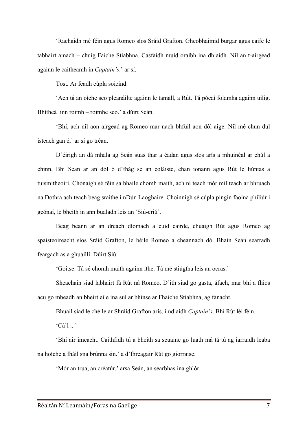'Rachaidh mé féin agus Romeo síos Sráid Grafton. Gheobhaimid burgar agus caife le tabhairt amach – chuig Faiche Stiabhna. Casfaidh muid oraibh ina dhiaidh. Níl an t-airgead againn le caitheamh in *Captain's*.' ar sí.

Tost. Ar feadh cúpla soicind.

'Ach tá an oíche seo pleanáilte againn le tamall, a Rút. Tá pócaí folamha againn uilig. Bhítheá linn roimh – roimhe seo.' a dúirt Seán.

'Bhí, ach níl aon airgead ag Romeo mar nach bhfuil aon dól aige. Níl mé chun dul isteach gan é,' ar sí go tréan.

D'éirigh an dá mhala ag Seán suas thar a éadan agus síos arís a mhuinéal ar chúl a chinn. Bhí Sean ar an dól ó d'fhág sé an coláiste, chan ionann agus Rút le liúntas a tuismitheoirí. Chónaigh sé féin sa bhaile chomh maith, ach ní teach mór millteach ar bhruach na Dothra ach teach beag sraithe i nDún Laoghaire. Choinnigh sé cúpla pingin faoina philiúr i gcónaí, le bheith in ann bualadh leis an 'Siú-criú'.

Beag beann ar an dreach díomach a cuid cairde, chuaigh Rút agus Romeo ag spaisteoireacht síos Sráid Grafton, le béile Romeo a cheannach dó. Bhain Seán searradh feargach as a ghuaillí. Dúirt Siú:

'Goitse. Tá sé chomh maith againn ithe. Tá mé stiúgtha leis an ocras.'

Sheachain siad labhairt fá Rút ná Romeo. D'ith siad go gasta, áfach, mar bhí a fhios acu go mbeadh an bheirt eile ina suí ar bhinse ar Fhaiche Stiabhna, ag fanacht.

Bhuail siad le chéile ar Shráid Grafton arís, i ndiaidh *Captain's*. Bhí Rút léi féin.

 $'Ca'1$ ...'

'Bhí air imeacht. Caithfidh tú a bheith sa scuaine go luath má tá tú ag iarraidh leaba na hoíche a fháil sna brúnna sin.' a d'fhreagair Rút go giorraisc.

'Mór an trua, an créatúr.' arsa Seán, an searbhas ina ghlór.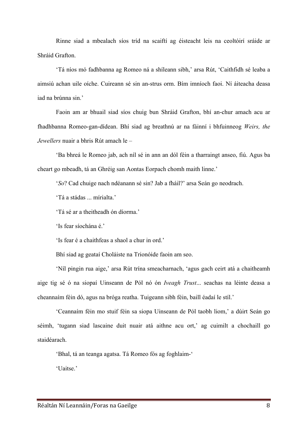Rinne siad a mbealach síos tríd na scaiftí ag éisteacht leis na ceoltóirí sráide ar Shráid Grafton.

'Tá níos mó fadhbanna ag Romeo ná a shíleann sibh,' arsa Rút, 'Caithfidh sé leaba a aimsiú achan uile oíche. Cuireann sé sin an-strus orm. Bím imníoch faoi. Ní áiteacha deasa iad na brúnna sin.'

Faoin am ar bhuail siad síos chuig bun Shráid Grafton, bhí an-chur amach acu ar fhadhbanna Romeo-gan-dídean. Bhí siad ag breathnú ar na fáinní i bhfuinneog *Weirs, the Jewellers* nuair a bhris Rút amach le –

'Ba bhreá le Romeo jab, ach níl sé in ann an dól féin a tharraingt anseo, fiú. Agus ba cheart go mbeadh, tá an Ghréig san Aontas Eorpach chomh maith linne.'

'*So*? Cad chuige nach ndéanann sé sin? Jab a fháil?' arsa Seán go neodrach.

'Tá a stádas ... mírialta.'

'Tá sé ar a theitheadh ón díorma.'

'Is fear síochána é.'

'Is fear é a chaithfeas a shaol a chur in ord.'

Bhí siad ag geataí Choláiste na Trionóide faoin am seo.

'Níl pingin rua aige,' arsa Rút trína smeacharnach, 'agus gach ceirt atá a chaitheamh aige tig sé ó na siopaí Uinseann de Pól nó ón *Iveagh Trust*... seachas na léinte deasa a cheannaím féin dó, agus na bróga reatha. Tuigeann sibh féin, baill éadaí le stíl.'

'Ceannaím féin mo stuif féin sa siopa Uinseann de Pól taobh liom,' a dúirt Seán go séimh, 'tugann siad lascaine duit nuair atá aithne acu ort,' ag cuimilt a chochaill go staidéarach.

'Bhal, tá an teanga agatsa. Tá Romeo fós ag foghlaim-'

'Uaitse'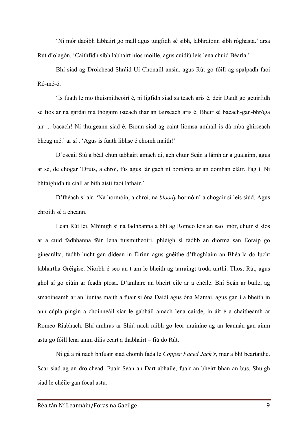'Ní mór daoibh labhairt go mall agus tuigfidh sé sibh, labhraíonn sibh róghasta.' arsa Rút d'olagón, 'Caithfidh sibh labhairt níos moille, agus cuidiú leis lena chuid Béarla.'

Bhí siad ag Droichead Shráid Uí Chonaill ansin, agus Rút go fóill ag spalpadh faoi Ró-mé-ó.

'Is fuath le mo thuismitheoirí é, ní ligfidh siad sa teach arís é, deir Daidí go gcuirfidh sé fios ar na gardaí má thógaim isteach thar an tairseach arís é. Bheir sé bacach-gan-bhróga air ... bacach! Ní thuigeann siad é. Bíonn siad ag caint liomsa amhail is dá mba ghirseach bheag mé.' ar sí , 'Agus is fuath libhse é chomh maith!'

D'oscail Siú a béal chun tabhairt amach di, ach chuir Seán a lámh ar a gualainn, agus ar sé, de chogar 'Drúis, a chroí, tús agus lár gach ní bómánta ar an domhan cláir. Fág í. Ní bhfaighidh tú ciall ar bith aisti faoi láthair.'

D'fhéach sí air. 'Na hormóin, a chroí, na *bloody* hormóin' a chogair sí leis siúd. Agus chroith sé a cheann.

Lean Rút léi. Mhínigh sí na fadhbanna a bhí ag Romeo leis an saol mór, chuir sí síos ar a cuid fadhbanna féin lena tuismitheoirí, phléigh sí fadhb an díorma san Eoraip go ginearálta, fadhb lucht gan dídean in Éirinn agus gnéithe d'fhoghlaim an Bhéarla do lucht labhartha Gréigise. Níorbh é seo an t-am le bheith ag tarraingt troda uirthi. Thost Rút, agus ghol sí go ciúin ar feadh píosa. D'amharc an bheirt eile ar a chéile. Bhí Seán ar buile, ag smaoineamh ar an liúntas maith a fuair sí óna Daidí agus óna Mamaí, agus gan í a bheith in ann cúpla pingin a choinneáil siar le gabháil amach lena cairde, in áit é a chaitheamh ar Romeo Riabhach. Bhí amhras ar Shiú nach raibh go leor muiníne ag an leannán-gan-ainm astu go fóill lena ainm dílis ceart a thabhairt – fiú do Rút.

Ní gá a rá nach bhfuair siad chomh fada le *Copper Faced Jack's*, mar a bhí beartaithe. Scar siad ag an droichead. Fuair Seán an Dart abhaile, fuair an bheirt bhan an bus. Shuigh siad le chéile gan focal astu.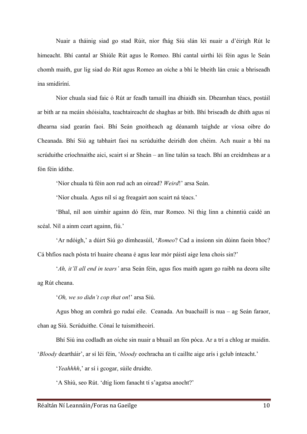Nuair a tháinig siad go stad Rúit, níor fhág Siú slán léi nuair a d'éirigh Rút le himeacht. Bhí cantal ar Shiúle Rút agus le Romeo. Bhí cantal uirthi léi féin agus le Seán chomh maith, gur lig siad do Rút agus Romeo an oíche a bhí le bheith lán craic a bhriseadh ina smidiríní.

Níor chuala siad faic ó Rút ar feadh tamaill ina dhiaidh sin. Dheamhan téacs, postáil ar bith ar na meáin shóisialta, teachtaireacht de shaghas ar bith. Bhí briseadh de dhíth agus ní dhearna siad gearán faoi. Bhí Seán gnoitheach ag déanamh taighde ar víosa oibre do Cheanada. Bhí Siú ag tabhairt faoi na scrúduithe deiridh don chéim. Ach nuair a bhí na scrúduithe críochnaithe aici, scairt sí ar Sheán – an líne talún sa teach. Bhí an creidmheas ar a fón féin ídithe.

'Níor chuala tú féin aon rud ach an oiread? *Weird*!' arsa Seán.

'Níor chuala. Agus níl sí ag freagairt aon scairt ná téacs.'

'Bhal, níl aon uimhir againn dó féin, mar Romeo. Ní thig linn a chinntiú caidé an scéal. Níl a ainm ceart againn, fiú.'

'Ar ndóigh,' a dúirt Siú go dímheasúil, '*Romeo*? Cad a insíonn sin dúinn faoin bhoc? Cá bhfios nach pósta trí huaire cheana é agus lear mór páistí aige lena chois sin?'

'*Ah, it'll all end in tears'* arsa Seán féin, agus fios maith agam go raibh na deora silte ag Rút cheana.

'*Oh, we so didn't cop that on*!' arsa Siú.

Agus bhog an comhrá go rudaí eile. Ceanada. An buachaill is nua – ag Seán faraor, chan ag Siú. Scrúduithe. Cónaí le tuismitheoirí.

Bhí Siú ina codladh an oíche sin nuair a bhuail an fón póca. Ar a trí a chlog ar maidin.

'*Bloody* deartháir', ar sí léi féin, '*bloody* eochracha an tí caillte aige arís i gclub ínteacht.'

'*Yeahhhh*,' ar sí i gcogar, súile druidte.

'A Shiú, seo Rút. 'dtig liom fanacht tí s'agatsa anocht?'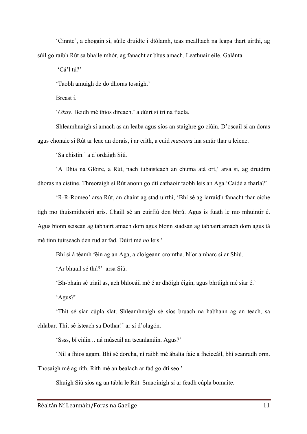'Cinnte', a chogain sí, súile druidte i dtólamh, teas mealltach na leapa thart uirthi, ag súil go raibh Rút sa bhaile mhór, ag fanacht ar bhus amach. Leathuair eile. Galánta.

'Cá'l tú?'

'Taobh amuigh de do dhoras tosaigh.'

Breast í.

'*Okay*. Beidh mé thíos díreach.' a dúirt sí trí na fiacla.

Shleamhnaigh sí amach as an leaba agus síos an staighre go ciúin. D'oscail sí an doras agus chonaic sí Rút ar leac an dorais, í ar crith, a cuid *mascara* ina smúr thar a leicne.

'Sa chistin.' a d'ordaigh Siú.

'A Dhia na Glóire, a Rút, nach tubaisteach an chuma atá ort,' arsa sí, ag druidim dhoras na cistine. Threoraigh sí Rút anonn go dtí cathaoir taobh leis an Aga.'Caidé a tharla?'

'R-R-Romeo' arsa Rút, an chaint ag stad uirthi, 'Bhí sé ag iarraidh fanacht thar oíche tigh mo thuismitheoirí arís. Chaill sé an cuirfiú don bhrú. Agus is fuath le mo mhuintir é. Agus bíonn seisean ag tabhairt amach dom agus bíonn siadsan ag tabhairt amach dom agus tá mé tinn tuirseach den rud ar fad. Dúirt mé *no* leis.'

Bhí sí á téamh féin ag an Aga, a cloigeann cromtha. Níor amharc sí ar Shiú.

'Ar bhuail sé thú?' arsa Siú.

'Bh-bhain sé triail as, ach bhlocáil mé é ar dhóigh éigin, agus bhrúigh mé siar é.'

'Agus?'

'Thit sé siar cúpla slat. Shleamhnaigh sé síos bruach na habhann ag an teach, sa chlabar. Thit sé isteach sa Dothar!' ar sí d'olagón.

'Ssss, bí ciúin .. ná múscail an tseanlanúin. Agus?'

'Níl a fhios agam. Bhí sé dorcha, ní raibh mé ábalta faic a fheiceáil, bhí scanradh orm.

Thosaigh mé ag rith. Rith mé an bealach ar fad go dtí seo.'

Shuigh Siú síos ag an tábla le Rút. Smaoinigh sí ar feadh cúpla bomaite.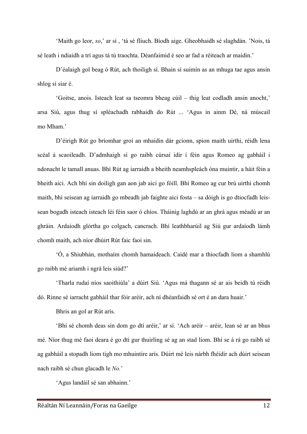'Maith go leor, *so*,' ar sí , 'tá sé fliuch. Bíodh aige. Gheobhaidh sé slaghdán. 'Nois, tá sé leath i ndiaidh a trí agus tá tú traochta. Déanfaimid é seo ar fad a réiteach ar maidin.'

D'éalaigh gol beag ó Rút, ach thoiligh sí. Bhain sí suimín as an mhuga tae agus ansin shlog sí siar é.

'Goitse, anois. Isteach leat sa tseomra bheag cúil – thig leat codladh ansin anocht,' arsa Siú, agus thug sí spléachadh rabhaidh do Rút ... 'Agus in ainm Dé, ná múscail mo Mham.'

D'éirigh Rút go bríomhar groí an mhaidin dár gcionn, spion maith uirthi, réidh lena scéal á scaoileadh. D'admhaigh sí go raibh cúrsaí idir í féin agus Romeo ag gabháil i ndonacht le tamall anuas. Bhí Rút ag iarraidh a bheith neamhspleách óna muintir, a háit féin a bheith aici. Ach bhí sin doiligh gan aon jab aici go fóill. Bhí Romeo ag cur brú uirthi chomh maith, bhí seisean ag iarraidh go mbeadh jab faighte aici fosta – sa dóigh is go dtiocfadh leissean bogadh isteach isteach léi féin saor ó chíos. Tháinig laghdú ar an ghrá agus méadú ar an ghráin. Ardaíodh glórtha go colgach, cancrach. Bhí leathbharúil ag Siú gur ardaíodh lámh chomh maith, ach níor dhúirt Rút faic faoi sin.

'Ó, a Shiubhán, mothaím chomh hamaideach. Caidé mar a thiocfadh liom a shamhlú go raibh mé ariamh i ngrá leis siúd?'

'Tharla rudaí níos saoithiúla' a dúirt Siú. 'Agus má thagann sé ar ais beidh tú réidh dó. Rinne sé iarracht gabháil thar fóir aréir, ach ní dhéanfaidh sé ort é an dara huair.'

Bhris an gol ar Rút arís.

'Bhí sé chomh deas sin dom go dtí aréir,' ar sí. 'Ach aréir – aréir, lean sé ar an bhus mé. Níor thug mé faoi deara é go dtí gur thuirling sé ag an stad liom. Bhí se á rá go raibh sé ag gabháil a stopadh liom tigh mo mhuintire arís. Dúirt mé leis nárbh fhéidir ach dúirt seisean nach raibh sé chun glacadh le *No.*'

'Agus landáil sé san abhainn.'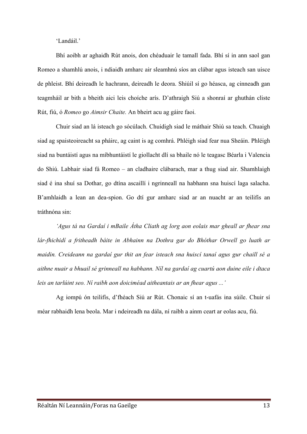'Landáil.'

Bhí aoibh ar aghaidh Rút anois, don chéaduair le tamall fada. Bhí sí in ann saol gan Romeo a shamhlú anois, i ndiaidh amharc air sleamhnú síos an clábar agus isteach san uisce de phleist. Bhí deireadh le hachrann, deireadh le deora. Shiúil sí go héasca, ag cinneadh gan teagmháil ar bith a bheith aici leis choíche arís. D'athraigh Siú a shonraí ar ghuthán cliste Rút, fiú, ó *Romeo* go *Aimsir Chaite.* An bheirt acu ag gáire faoi.

Chuir siad an lá isteach go sócúlach. Chuidigh siad le máthair Shiú sa teach. Chuaigh siad ag spaisteoireacht sa pháirc, ag caint is ag comhrá. Phléigh siad fear nua Sheáin. Phléigh siad na buntáistí agus na míbhuntáistí le giollacht dlí sa bhaile nó le teagasc Béarla i Valencia do Shiú. Labhair siad fá Romeo – an cladhaire clábarach, mar a thug siad air. Shamhlaigh siad é ina shuí sa Dothar, go dtína ascaillí i ngrinneall na habhann sna huiscí laga salacha. B'amhlaidh a lean an dea-spion. Go dtí gur amharc siad ar an nuacht ar an teilifís an tráthnóna sin:

*'Agus tá na Gardaí i mBaile Átha Cliath ag lorg aon eolais mar gheall ar fhear sna lár-fhichidí a fritheadh báite in Abhainn na Dothra gar do Bhóthar Orwell go luath ar maidin. Creideann na gardaí gur thit an fear isteach sna huiscí tanaí agus gur chaill sé a aithne nuair a bhuail sé grinneall na habhann. Níl na gardaí ag cuartú aon duine eile i dtaca leis an tarlúint seo. Ní raibh aon doiciméad aitheantais ar an fhear agus ...'*

Ag iompú ón teilifís, d'fhéach Siú ar Rút. Chonaic sí an t-uafás ina súile. Chuir sí méar rabhaidh lena beola. Mar i ndeireadh na dála, ní raibh a ainm ceart ar eolas acu, fiú.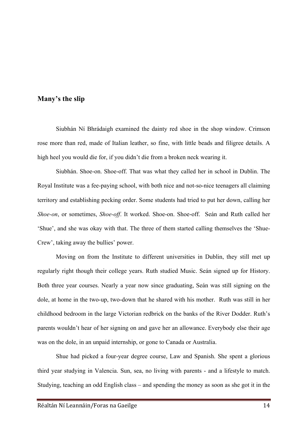## **Many's the slip**

Siubhán Ní Bhrádaigh examined the dainty red shoe in the shop window. Crimson rose more than red, made of Italian leather, so fine, with little beads and filigree details. A high heel you would die for, if you didn't die from a broken neck wearing it.

Siubhán. Shoe-on. Shoe-off. That was what they called her in school in Dublin. The Royal Institute was a fee-paying school, with both nice and not-so-nice teenagers all claiming territory and establishing pecking order. Some students had tried to put her down, calling her *Shoe-on*, or sometimes, *Shoe-off*. It worked. Shoe-on. Shoe-off. Seán and Ruth called her 'Shue', and she was okay with that. The three of them started calling themselves the 'Shue-Crew', taking away the bullies' power.

Moving on from the Institute to different universities in Dublin, they still met up regularly right though their college years. Ruth studied Music. Seán signed up for History. Both three year courses. Nearly a year now since graduating, Seán was still signing on the dole, at home in the two-up, two-down that he shared with his mother. Ruth was still in her childhood bedroom in the large Victorian redbrick on the banks of the River Dodder. Ruth's parents wouldn't hear of her signing on and gave her an allowance. Everybody else their age was on the dole, in an unpaid internship, or gone to Canada or Australia.

Shue had picked a four-year degree course, Law and Spanish. She spent a glorious third year studying in Valencia. Sun, sea, no living with parents - and a lifestyle to match. Studying, teaching an odd English class – and spending the money as soon as she got it in the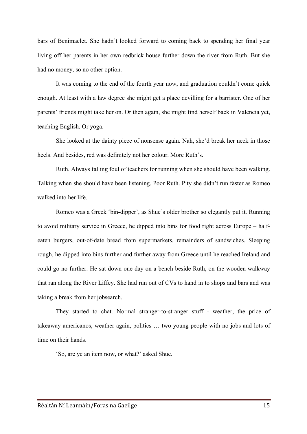bars of Benimaclet. She hadn't looked forward to coming back to spending her final year living off her parents in her own redbrick house further down the river from Ruth. But she had no money, so no other option.

It was coming to the end of the fourth year now, and graduation couldn't come quick enough. At least with a law degree she might get a place devilling for a barrister. One of her parents' friends might take her on. Or then again, she might find herself back in Valencia yet, teaching English. Or yoga.

She looked at the dainty piece of nonsense again. Nah, she'd break her neck in those heels. And besides, red was definitely not her colour. More Ruth's.

Ruth. Always falling foul of teachers for running when she should have been walking. Talking when she should have been listening. Poor Ruth. Pity she didn't run faster as Romeo walked into her life.

Romeo was a Greek 'bin-dipper', as Shue's older brother so elegantly put it. Running to avoid military service in Greece, he dipped into bins for food right across Europe – halfeaten burgers, out-of-date bread from supermarkets, remainders of sandwiches. Sleeping rough, he dipped into bins further and further away from Greece until he reached Ireland and could go no further. He sat down one day on a bench beside Ruth, on the wooden walkway that ran along the River Liffey. She had run out of CVs to hand in to shops and bars and was taking a break from her jobsearch.

They started to chat. Normal stranger-to-stranger stuff - weather, the price of takeaway americanos, weather again, politics … two young people with no jobs and lots of time on their hands.

'So, are ye an item now, or what?' asked Shue.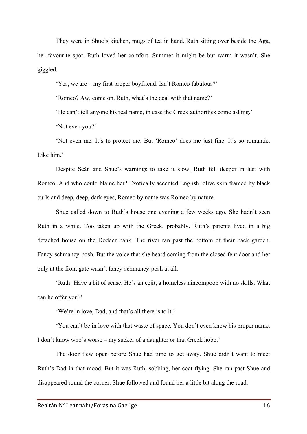They were in Shue's kitchen, mugs of tea in hand. Ruth sitting over beside the Aga, her favourite spot. Ruth loved her comfort. Summer it might be but warm it wasn't. She giggled.

'Yes, we are – my first proper boyfriend. Isn't Romeo fabulous?'

'Romeo? Aw, come on, Ruth, what's the deal with that name?'

'He can't tell anyone his real name, in case the Greek authorities come asking.'

'Not even you?'

'Not even me. It's to protect me. But 'Romeo' does me just fine. It's so romantic. Like him.'

Despite Seán and Shue's warnings to take it slow, Ruth fell deeper in lust with Romeo. And who could blame her? Exotically accented English, olive skin framed by black curls and deep, deep, dark eyes, Romeo by name was Romeo by nature.

Shue called down to Ruth's house one evening a few weeks ago. She hadn't seen Ruth in a while. Too taken up with the Greek, probably. Ruth's parents lived in a big detached house on the Dodder bank. The river ran past the bottom of their back garden. Fancy-schmancy-posh. But the voice that she heard coming from the closed fent door and her only at the front gate wasn't fancy-schmancy-posh at all.

'Ruth! Have a bit of sense. He's an eejit, a homeless nincompoop with no skills. What can he offer you?'

'We're in love, Dad, and that's all there is to it.'

'You can't be in love with that waste of space. You don't even know his proper name. I don't know who's worse – my sucker of a daughter or that Greek hobo.'

The door flew open before Shue had time to get away. Shue didn't want to meet Ruth's Dad in that mood. But it was Ruth, sobbing, her coat flying. She ran past Shue and disappeared round the corner. Shue followed and found her a little bit along the road.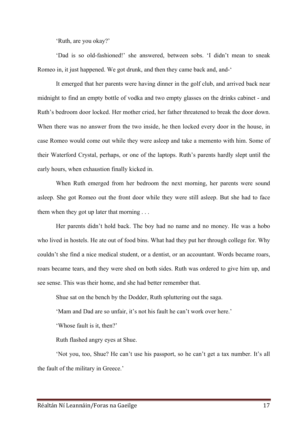'Ruth, are you okay?'

'Dad is so old-fashioned!' she answered, between sobs. 'I didn't mean to sneak Romeo in, it just happened. We got drunk, and then they came back and, and-'

It emerged that her parents were having dinner in the golf club, and arrived back near midnight to find an empty bottle of vodka and two empty glasses on the drinks cabinet - and Ruth's bedroom door locked. Her mother cried, her father threatened to break the door down. When there was no answer from the two inside, he then locked every door in the house, in case Romeo would come out while they were asleep and take a memento with him. Some of their Waterford Crystal, perhaps, or one of the laptops. Ruth's parents hardly slept until the early hours, when exhaustion finally kicked in.

When Ruth emerged from her bedroom the next morning, her parents were sound asleep. She got Romeo out the front door while they were still asleep. But she had to face them when they got up later that morning . . .

Her parents didn't hold back. The boy had no name and no money. He was a hobo who lived in hostels. He ate out of food bins. What had they put her through college for. Why couldn't she find a nice medical student, or a dentist, or an accountant. Words became roars, roars became tears, and they were shed on both sides. Ruth was ordered to give him up, and see sense. This was their home, and she had better remember that.

Shue sat on the bench by the Dodder, Ruth spluttering out the saga.

'Mam and Dad are so unfair, it's not his fault he can't work over here.'

'Whose fault is it, then?'

Ruth flashed angry eyes at Shue.

'Not you, too, Shue? He can't use his passport, so he can't get a tax number. It's all the fault of the military in Greece.'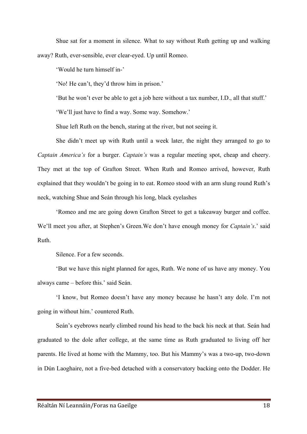Shue sat for a moment in silence. What to say without Ruth getting up and walking away? Ruth, ever-sensible, ever clear-eyed. Up until Romeo.

'Would he turn himself in-'

'No! He can't, they'd throw him in prison.'

'But he won't ever be able to get a job here without a tax number, I.D., all that stuff.'

'We'll just have to find a way. Some way. Somehow.'

Shue left Ruth on the bench, staring at the river, but not seeing it.

She didn't meet up with Ruth until a week later, the night they arranged to go to *Captain America's* for a burger. *Captain's* was a regular meeting spot, cheap and cheery. They met at the top of Grafton Street. When Ruth and Romeo arrived, however, Ruth explained that they wouldn't be going in to eat. Romeo stood with an arm slung round Ruth's neck, watching Shue and Seán through his long, black eyelashes

'Romeo and me are going down Grafton Street to get a takeaway burger and coffee. We'll meet you after, at Stephen's Green.We don't have enough money for *Captain's*.' said Ruth.

Silence. For a few seconds.

'But we have this night planned for ages, Ruth. We none of us have any money. You always came – before this.' said Seán.

'I know, but Romeo doesn't have any money because he hasn't any dole. I'm not going in without him.' countered Ruth.

Seán's eyebrows nearly climbed round his head to the back his neck at that. Seán had graduated to the dole after college, at the same time as Ruth graduated to living off her parents. He lived at home with the Mammy, too. But his Mammy's was a two-up, two-down in Dún Laoghaire, not a five-bed detached with a conservatory backing onto the Dodder. He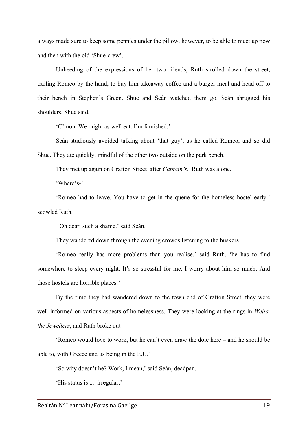always made sure to keep some pennies under the pillow, however, to be able to meet up now and then with the old 'Shue-crew'.

Unheeding of the expressions of her two friends, Ruth strolled down the street, trailing Romeo by the hand, to buy him takeaway coffee and a burger meal and head off to their bench in Stephen's Green. Shue and Seán watched them go. Seán shrugged his shoulders. Shue said,

'C'mon. We might as well eat. I'm famished.'

Seán studiously avoided talking about 'that guy', as he called Romeo, and so did Shue. They ate quickly, mindful of the other two outside on the park bench.

They met up again on Grafton Street after *Captain's*. Ruth was alone.

'Where's-'

'Romeo had to leave. You have to get in the queue for the homeless hostel early.' scowled Ruth.

'Oh dear, such a shame.' said Seán.

They wandered down through the evening crowds listening to the buskers.

'Romeo really has more problems than you realise,' said Ruth, 'he has to find somewhere to sleep every night. It's so stressful for me. I worry about him so much. And those hostels are horrible places.'

By the time they had wandered down to the town end of Grafton Street, they were well-informed on various aspects of homelessness. They were looking at the rings in *Weirs, the Jewellers*, and Ruth broke out –

'Romeo would love to work, but he can't even draw the dole here – and he should be able to, with Greece and us being in the E.U.'

'So why doesn't he? Work, I mean,' said Seán, deadpan.

'His status is ... irregular.'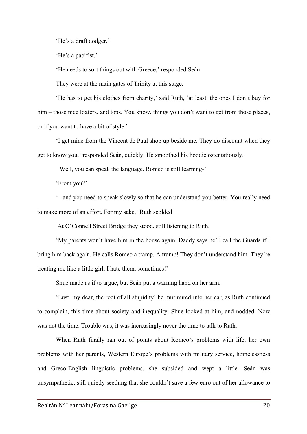'He's a draft dodger.'

'He's a pacifist.'

'He needs to sort things out with Greece,' responded Seán.

They were at the main gates of Trinity at this stage.

'He has to get his clothes from charity,' said Ruth, 'at least, the ones I don't buy for him – those nice loafers, and tops. You know, things you don't want to get from those places, or if you want to have a bit of style.'

'I get mine from the Vincent de Paul shop up beside me. They do discount when they get to know you.' responded Seán, quickly. He smoothed his hoodie ostentatiously.

'Well, you can speak the language. Romeo is still learning-'

'From you?'

'– and you need to speak slowly so that he can understand you better. You really need to make more of an effort. For my sake.' Ruth scolded

At O'Connell Street Bridge they stood, still listening to Ruth.

'My parents won't have him in the house again. Daddy says he'll call the Guards if I bring him back again. He calls Romeo a tramp. A tramp! They don't understand him. They're treating me like a little girl. I hate them, sometimes!'

Shue made as if to argue, but Seán put a warning hand on her arm.

'Lust, my dear, the root of all stupidity' he murmured into her ear, as Ruth continued to complain, this time about society and inequality. Shue looked at him, and nodded. Now was not the time. Trouble was, it was increasingly never the time to talk to Ruth.

When Ruth finally ran out of points about Romeo's problems with life, her own problems with her parents, Western Europe's problems with military service, homelessness and Greco-English linguistic problems, she subsided and wept a little. Seán was unsympathetic, still quietly seething that she couldn't save a few euro out of her allowance to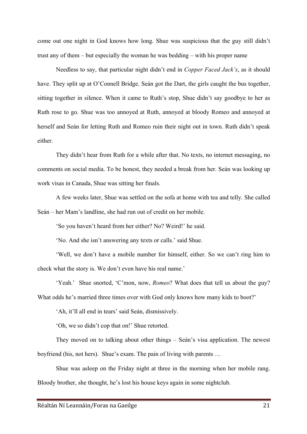come out one night in God knows how long. Shue was suspicious that the guy still didn't trust any of them – but especially the woman he was bedding – with his proper name

Needless to say, that particular night didn't end in *Copper Faced Jack's*, as it should have. They split up at O'Connell Bridge. Seán got the Dart, the girls caught the bus together, sitting together in silence. When it came to Ruth's stop, Shue didn't say goodbye to her as Ruth rose to go. Shue was too annoyed at Ruth, annoyed at bloody Romeo and annoyed at herself and Seán for letting Ruth and Romeo ruin their night out in town. Ruth didn't speak either.

They didn't hear from Ruth for a while after that. No texts, no internet messaging, no comments on social media. To be honest, they needed a break from her. Seán was looking up work visas in Canada, Shue was sitting her finals.

A few weeks later, Shue was settled on the sofa at home with tea and telly. She called Seán – her Mam's landline, she had run out of credit on her mobile.

'So you haven't heard from her either? No? Weird!' he said.

'No. And she isn't answering any texts or calls.' said Shue.

'Well, we don't have a mobile number for himself, either. So we can't ring him to check what the story is. We don't even have his real name.'

'Yeah.' Shue snorted, 'C'mon, now, *Romeo*? What does that tell us about the guy? What odds he's married three times over with God only knows how many kids to boot?'

'Ah, it'll all end in tears' said Seán, dismissively.

'Oh, we so didn't cop that on!' Shue retorted.

They moved on to talking about other things – Seán's visa application. The newest boyfriend (his, not hers). Shue's exam. The pain of living with parents …

Shue was asleep on the Friday night at three in the morning when her mobile rang. Bloody brother, she thought, he's lost his house keys again in some nightclub.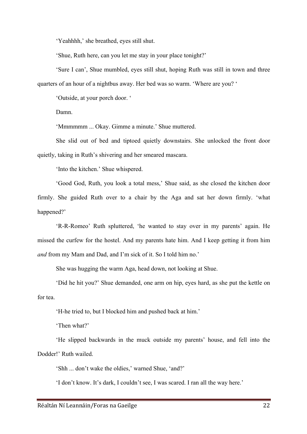'Yeahhhh,' she breathed, eyes still shut.

'Shue, Ruth here, can you let me stay in your place tonight?'

'Sure I can', Shue mumbled, eyes still shut, hoping Ruth was still in town and three quarters of an hour of a nightbus away. Her bed was so warm. 'Where are you? '

'Outside, at your porch door. '

Damn.

'Mmmmmm ... Okay. Gimme a minute.' Shue muttered.

She slid out of bed and tiptoed quietly downstairs. She unlocked the front door quietly, taking in Ruth's shivering and her smeared mascara.

'Into the kitchen.' Shue whispered.

'Good God, Ruth, you look a total mess,' Shue said, as she closed the kitchen door firmly. She guided Ruth over to a chair by the Aga and sat her down firmly. 'what happened?'

'R-R-Romeo' Ruth spluttered, 'he wanted to stay over in my parents' again. He missed the curfew for the hostel. And my parents hate him. And I keep getting it from him *and* from my Mam and Dad, and I'm sick of it. So I told him no.'

She was hugging the warm Aga, head down, not looking at Shue.

'Did he hit you?' Shue demanded, one arm on hip, eyes hard, as she put the kettle on for tea.

'H-he tried to, but I blocked him and pushed back at him.'

'Then what?'

'He slipped backwards in the muck outside my parents' house, and fell into the Dodder!' Ruth wailed.

'Shh ... don't wake the oldies,' warned Shue, 'and?'

'I don't know. It's dark, I couldn't see, I was scared. I ran all the way here.'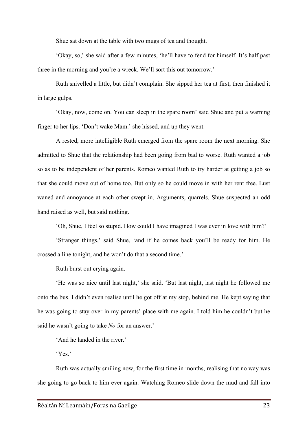Shue sat down at the table with two mugs of tea and thought.

'Okay, so,' she said after a few minutes, 'he'll have to fend for himself. It's half past three in the morning and you're a wreck. We'll sort this out tomorrow.'

Ruth snivelled a little, but didn't complain. She sipped her tea at first, then finished it in large gulps.

'Okay, now, come on. You can sleep in the spare room' said Shue and put a warning finger to her lips. 'Don't wake Mam.' she hissed, and up they went.

A rested, more intelligible Ruth emerged from the spare room the next morning. She admitted to Shue that the relationship had been going from bad to worse. Ruth wanted a job so as to be independent of her parents. Romeo wanted Ruth to try harder at getting a job so that she could move out of home too. But only so he could move in with her rent free. Lust waned and annoyance at each other swept in. Arguments, quarrels. Shue suspected an odd hand raised as well, but said nothing.

'Oh, Shue, I feel so stupid. How could I have imagined I was ever in love with him?'

'Stranger things,' said Shue, 'and if he comes back you'll be ready for him. He crossed a line tonight, and he won't do that a second time.'

Ruth burst out crying again.

'He was so nice until last night,' she said. 'But last night, last night he followed me onto the bus. I didn't even realise until he got off at my stop, behind me. He kept saying that he was going to stay over in my parents' place with me again. I told him he couldn't but he said he wasn't going to take *No* for an answer.'

'And he landed in the river.'

'Yes.'

Ruth was actually smiling now, for the first time in months, realising that no way was she going to go back to him ever again. Watching Romeo slide down the mud and fall into